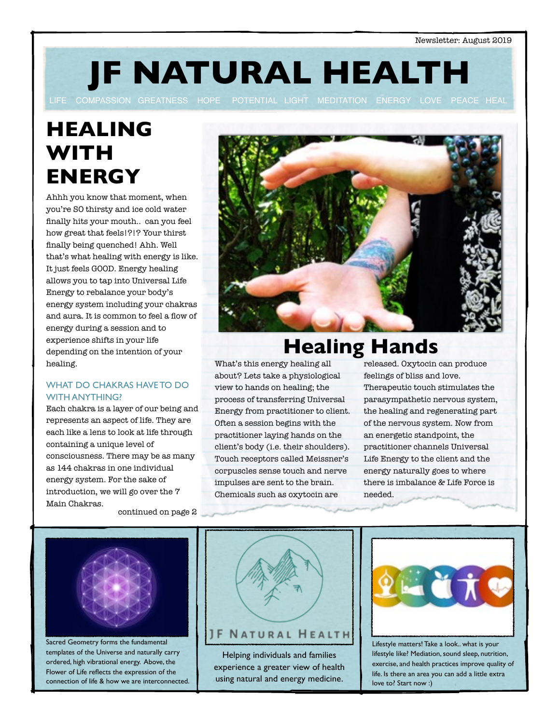**JF NATURAL HEALTH**

**HEALING WITH ENERGY**

Ahhh you know that moment, when you're SO thirsty and ice cold water finally hits your mouth.. can you feel how great that feels!?!? Your thirst finally being quenched! Ahh. Well that's what healing with energy is like. It just feels GOOD. Energy healing allows you to tap into Universal Life Energy to rebalance your body's energy system including your chakras and aura. It is common to feel a flow of energy during a session and to experience shifts in your life depending on the intention of your healing.

### WHAT DO CHAKRAS HAVE TO DO WITH ANYTHING?

Each chakra is a layer of our being and represents an aspect of life. They are each like a lens to look at life through containing a unique level of consciousness. There may be as many as 144 chakras in one individual energy system. For the sake of introduction, we will go over the 7 Main Chakras.

continued on page 2



# **Healing Hands**

What's this energy healing all about? Lets take a physiological view to hands on healing; the process of transferring Universal Energy from practitioner to client. Often a session begins with the practitioner laying hands on the client's body (i.e. their shoulders). Touch receptors called Meissner's corpuscles sense touch and nerve impulses are sent to the brain. Chemicals such as oxytocin are

released. Oxytocin can produce feelings of bliss and love. Therapeutic touch stimulates the parasympathetic nervous system, the healing and regenerating part of the nervous system. Now from an energetic standpoint, the practitioner channels Universal Life Energy to the client and the energy naturally goes to where there is imbalance & Life Force is needed.



Sacred Geometry forms the fundamental templates of the Universe and naturally carry ordered, high vibrational energy. Above, the Flower of Life reflects the expression of the connection of life & how we are interconnected.



Helping individuals and families experience a greater view of health using natural and energy medicine.



Lifestyle matters! Take a look.. what is your lifestyle like? Mediation, sound sleep, nutrition, exercise, and health practices improve quality of life. Is there an area you can add a little extra love to? Start now :)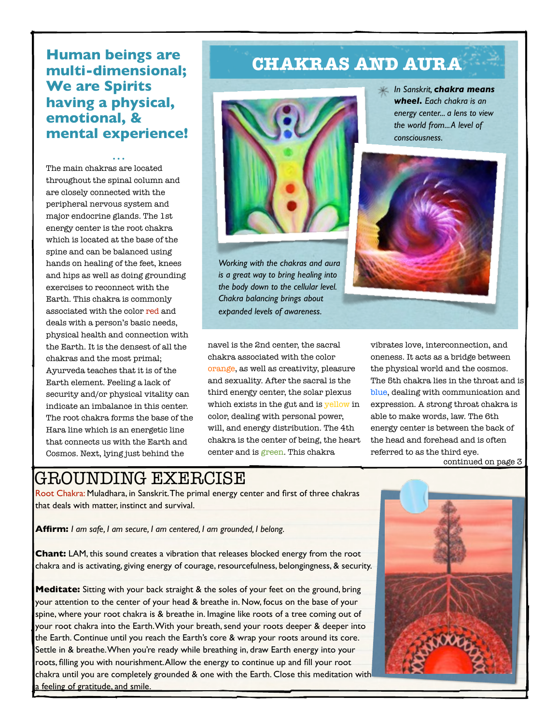### **Human beings are multi-dimensional; We are Spirits having a physical, emotional, & mental experience!**

*• • •* The main chakras are located throughout the spinal column and are closely connected with the peripheral nervous system and major endocrine glands. The 1st energy center is the root chakra which is located at the base of the spine and can be balanced using hands on healing of the feet, knees and hips as well as doing grounding exercises to reconnect with the Earth. This chakra is commonly associated with the color red and deals with a person's basic needs, physical health and connection with the Earth. It is the densest of all the chakras and the most primal; Ayurveda teaches that it is of the Earth element. Feeling a lack of security and/or physical vitality can indicate an imbalance in this center. The root chakra forms the base of the Hara line which is an energetic line that connects us with the Earth and Cosmos. Next, lying just behind the

## **CHAKRAS AND AURA**



*Working with the chakras and aura is a great way to bring healing into the body down to the cellular level. Chakra balancing brings about expanded levels of awareness.*

*In Sanskrit, chakra means wheel. Each chakra is an energy center... a lens to view the world from... A level of consciousness.*



navel is the 2nd center, the sacral chakra associated with the color orange, as well as creativity, pleasure and sexuality. After the sacral is the third energy center, the solar plexus which exists in the gut and is yellow in color, dealing with personal power, will, and energy distribution. The 4th chakra is the center of being, the heart center and is green. This chakra

vibrates love, interconnection, and oneness. It acts as a bridge between the physical world and the cosmos. The 5th chakra lies in the throat and is blue, dealing with communication and expression. A strong throat chakra is able to make words, law. The 6th energy center is between the back of the head and forehead and is often referred to as the third eye. continued on page 3

## GROUNDING EXERCISE

Root Chakra: Muladhara, in Sanskrit. The primal energy center and first of three chakras that deals with matter, instinct and survival.

**Affirm:** *I am safe, I am secure, I am centered, I am grounded, I belong.*

**Chant:** LAM, this sound creates a vibration that releases blocked energy from the root chakra and is activating, giving energy of courage, resourcefulness, belongingness, & security.

**Meditate:** Sitting with your back straight & the soles of your feet on the ground, bring your attention to the center of your head & breathe in. Now, focus on the base of your spine, where your root chakra is & breathe in. Imagine like roots of a tree coming out of your root chakra into the Earth. With your breath, send your roots deeper & deeper into the Earth. Continue until you reach the Earth's core & wrap your roots around its core. Settle in & breathe. When you're ready while breathing in, draw Earth energy into your roots, filling you with nourishment. Allow the energy to continue up and fill your root chakra until you are completely grounded & one with the Earth. Close this meditation with a feeling of gratitude, and smile.